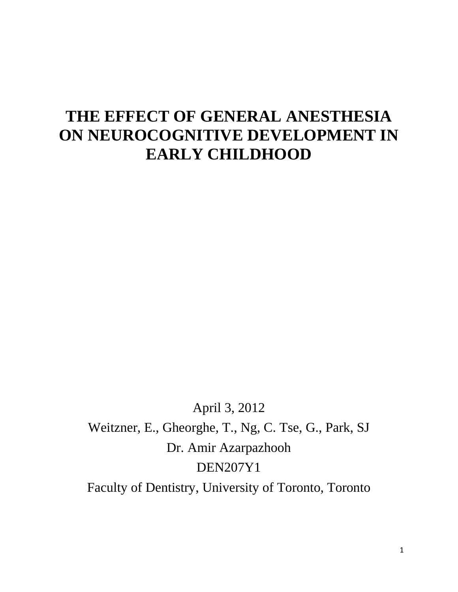# **THE EFFECT OF GENERAL ANESTHESIA ON NEUROCOGNITIVE DEVELOPMENT IN EARLY CHILDHOOD**

April 3, 2012 Weitzner, E., Gheorghe, T., Ng, C. Tse, G., Park, SJ Dr. Amir Azarpazhooh DEN207Y1 Faculty of Dentistry, University of Toronto, Toronto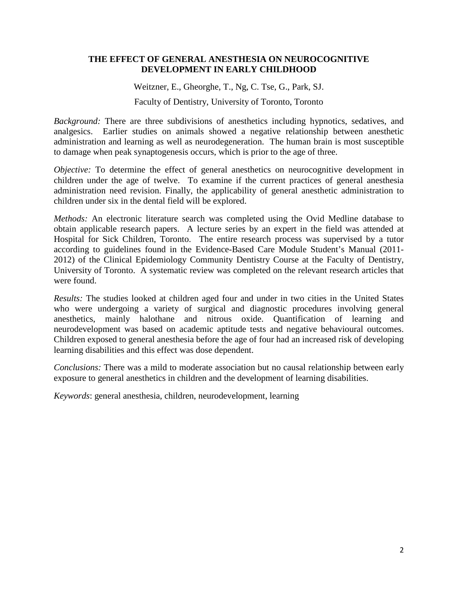## **THE EFFECT OF GENERAL ANESTHESIA ON NEUROCOGNITIVE DEVELOPMENT IN EARLY CHILDHOOD**

Weitzner, E., Gheorghe, T., Ng, C. Tse, G., Park, SJ. Faculty of Dentistry, University of Toronto, Toronto

*Background:* There are three subdivisions of anesthetics including hypnotics, sedatives, and analgesics. Earlier studies on animals showed a negative relationship between anesthetic administration and learning as well as neurodegeneration. The human brain is most susceptible to damage when peak synaptogenesis occurs, which is prior to the age of three.

*Objective:* To determine the effect of general anesthetics on neurocognitive development in children under the age of twelve. To examine if the current practices of general anesthesia administration need revision. Finally, the applicability of general anesthetic administration to children under six in the dental field will be explored.

*Methods:* An electronic literature search was completed using the Ovid Medline database to obtain applicable research papers. A lecture series by an expert in the field was attended at Hospital for Sick Children, Toronto. The entire research process was supervised by a tutor according to guidelines found in the Evidence-Based Care Module Student's Manual (2011- 2012) of the Clinical Epidemiology Community Dentistry Course at the Faculty of Dentistry, University of Toronto. A systematic review was completed on the relevant research articles that were found.

*Results:* The studies looked at children aged four and under in two cities in the United States who were undergoing a variety of surgical and diagnostic procedures involving general anesthetics, mainly halothane and nitrous oxide. Quantification of learning and neurodevelopment was based on academic aptitude tests and negative behavioural outcomes. Children exposed to general anesthesia before the age of four had an increased risk of developing learning disabilities and this effect was dose dependent.

*Conclusions:* There was a mild to moderate association but no causal relationship between early exposure to general anesthetics in children and the development of learning disabilities.

*Keywords*: general anesthesia, children, neurodevelopment, learning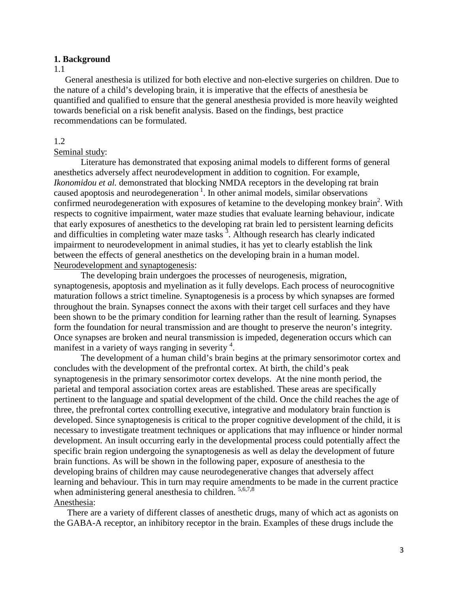#### **1. Background**

#### 1.1

General anesthesia is utilized for both elective and non-elective surgeries on children. Due to the nature of a child's developing brain, it is imperative that the effects of anesthesia be quantified and qualified to ensure that the general anesthesia provided is more heavily weighted towards beneficial on a risk benefit analysis. Based on the findings, best practice recommendations can be formulated.

### 1.2

#### Seminal study:

Literature has demonstrated that exposing animal models to different forms of general anesthetics adversely affect neurodevelopment in addition to cognition. For example, *Ikonomidou et al.* demonstrated that blocking NMDA receptors in the developing rat brain caused apoptosis and neurodegeneration<sup>1</sup>. In other animal models, similar observations confirmed neurodegeneration with exposures of ketamine to the developing monkey brain<sup>2</sup>. With respects to cognitive impairment, water maze studies that evaluate learning behaviour, indicate that early exposures of anesthetics to the developing rat brain led to persistent learning deficits and difficulties in completing water maze tasks<sup>3</sup>. Although research has clearly indicated impairment to neurodevelopment in animal studies, it has yet to clearly establish the link between the effects of general anesthetics on the developing brain in a human model. Neurodevelopment and synaptogenesis:

The developing brain undergoes the processes of neurogenesis, migration, synaptogenesis, apoptosis and myelination as it fully develops. Each process of neurocognitive maturation follows a strict timeline. Synaptogenesis is a process by which synapses are formed throughout the brain. Synapses connect the axons with their target cell surfaces and they have been shown to be the primary condition for learning rather than the result of learning. Synapses form the foundation for neural transmission and are thought to preserve the neuron's integrity. Once synapses are broken and neural transmission is impeded, degeneration occurs which can manifest in a variety of ways ranging in severity<sup>4</sup>.

The development of a human child's brain begins at the primary sensorimotor cortex and concludes with the development of the prefrontal cortex. At birth, the child's peak synaptogenesis in the primary sensorimotor cortex develops. At the nine month period, the parietal and temporal association cortex areas are established. These areas are specifically pertinent to the language and spatial development of the child. Once the child reaches the age of three, the prefrontal cortex controlling executive, integrative and modulatory brain function is developed. Since synaptogenesis is critical to the proper cognitive development of the child, it is necessary to investigate treatment techniques or applications that may influence or hinder normal development. An insult occurring early in the developmental process could potentially affect the specific brain region undergoing the synaptogenesis as well as delay the development of future brain functions. As will be shown in the following paper, exposure of anesthesia to the developing brains of children may cause neurodegenerative changes that adversely affect learning and behaviour. This in turn may require amendments to be made in the current practice when administering general anesthesia to children.  $5,6,7,8$ Anesthesia:

There are a variety of different classes of anesthetic drugs, many of which act as agonists on the GABA-A receptor, an inhibitory receptor in the brain. Examples of these drugs include the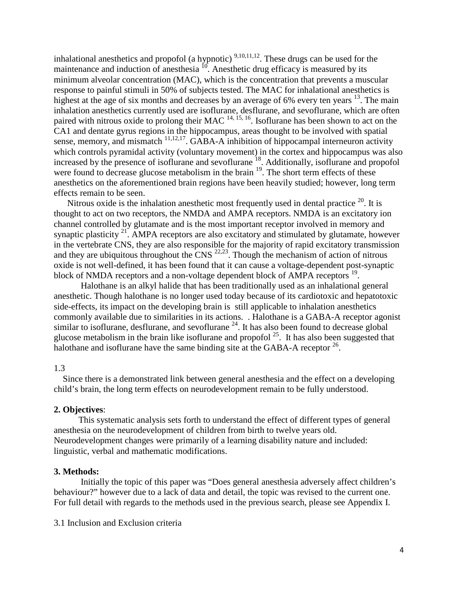inhalational anesthetics and propofol (a hypnotic)  $9,10,11,12$ . These drugs can be used for the maintenance and induction of anesthesia  $^{10}$ . Anesthetic drug efficacy is measured by its minimum alveolar concentration (MAC), which is the concentration that prevents a muscular response to painful stimuli in 50% of subjects tested. The MAC for inhalational anesthetics is highest at the age of six months and decreases by an average of 6% every ten years  $^{13}$ . The main inhalation anesthetics currently used are isoflurane, desflurane, and sevoflurane, which are often paired with nitrous oxide to prolong their MAC  $^{14, 15, 16}$ . Isoflurane has been shown to act on the CA1 and dentate gyrus regions in the hippocampus, areas thought to be involved with spatial sense, memory, and mismatch  $^{11,12,17}$ . GABA-A inhibition of hippocampal interneuron activity which controls pyramidal activity (voluntary movement) in the cortex and hippocampus was also increased by the presence of isoflurane and sevoflurane <sup>18</sup>. Additionally, isoflurane and propofol were found to decrease glucose metabolism in the brain <sup>19</sup>. The short term effects of these anesthetics on the aforementioned brain regions have been heavily studied; however, long term effects remain to be seen.

Nitrous oxide is the inhalation anesthetic most frequently used in dental practice  $^{20}$ . It is thought to act on two receptors, the NMDA and AMPA receptors. NMDA is an excitatory ion channel controlled by glutamate and is the most important receptor involved in memory and synaptic plasticity  $2^1$ . AMPA receptors are also excitatory and stimulated by glutamate, however in the vertebrate CNS, they are also responsible for the majority of rapid excitatory transmission and they are ubiquitous throughout the CNS  $^{22,23}$ . Though the mechanism of action of nitrous oxide is not well-defined, it has been found that it can cause a voltage-dependent post-synaptic block of NMDA receptors and a non-voltage dependent block of AMPA receptors <sup>19</sup>.

Halothane is an alkyl halide that has been traditionally used as an inhalational general anesthetic. Though halothane is no longer used today because of its cardiotoxic and hepatotoxic side-effects, its impact on the developing brain is still applicable to inhalation anesthetics commonly available due to similarities in its actions. . Halothane is a GABA-A receptor agonist similar to isoflurane, desflurane, and sevoflurane  $^{24}$ . It has also been found to decrease global glucose metabolism in the brain like isoflurane and propofol  $^{25}$ . It has also been suggested that halothane and isoflurane have the same binding site at the GABA-A receptor  $^{26}$ .

## 1.3

Since there is a demonstrated link between general anesthesia and the effect on a developing child's brain, the long term effects on neurodevelopment remain to be fully understood.

#### **2. Objectives**:

This systematic analysis sets forth to understand the effect of different types of general anesthesia on the neurodevelopment of children from birth to twelve years old. Neurodevelopment changes were primarily of a learning disability nature and included: linguistic, verbal and mathematic modifications.

#### **3. Methods:**

Initially the topic of this paper was "Does general anesthesia adversely affect children's behaviour?" however due to a lack of data and detail, the topic was revised to the current one. For full detail with regards to the methods used in the previous search, please see Appendix I.

3.1 Inclusion and Exclusion criteria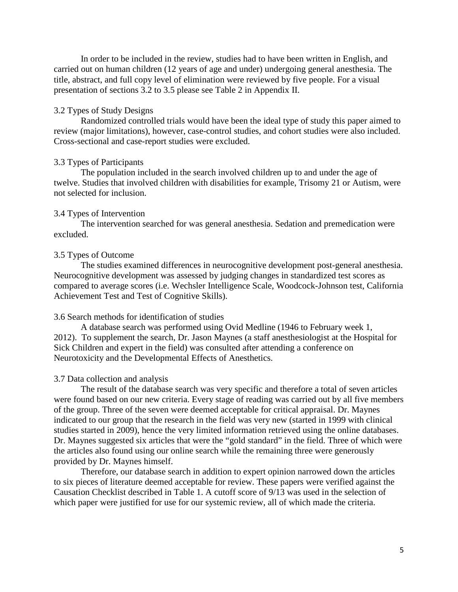In order to be included in the review, studies had to have been written in English, and carried out on human children (12 years of age and under) undergoing general anesthesia. The title, abstract, and full copy level of elimination were reviewed by five people. For a visual presentation of sections 3.2 to 3.5 please see Table 2 in Appendix II.

## 3.2 Types of Study Designs

Randomized controlled trials would have been the ideal type of study this paper aimed to review (major limitations), however, case-control studies, and cohort studies were also included. Cross-sectional and case-report studies were excluded.

#### 3.3 Types of Participants

The population included in the search involved children up to and under the age of twelve. Studies that involved children with disabilities for example, Trisomy 21 or Autism, were not selected for inclusion.

#### 3.4 Types of Intervention

The intervention searched for was general anesthesia. Sedation and premedication were excluded.

#### 3.5 Types of Outcome

The studies examined differences in neurocognitive development post-general anesthesia. Neurocognitive development was assessed by judging changes in standardized test scores as compared to average scores (i.e. Wechsler Intelligence Scale, Woodcock-Johnson test, California Achievement Test and Test of Cognitive Skills).

## 3.6 Search methods for identification of studies

A database search was performed using Ovid Medline (1946 to February week 1, 2012). To supplement the search, Dr. Jason Maynes (a staff anesthesiologist at the Hospital for Sick Children and expert in the field) was consulted after attending a conference on Neurotoxicity and the Developmental Effects of Anesthetics.

#### 3.7 Data collection and analysis

The result of the database search was very specific and therefore a total of seven articles were found based on our new criteria. Every stage of reading was carried out by all five members of the group. Three of the seven were deemed acceptable for critical appraisal. Dr. Maynes indicated to our group that the research in the field was very new (started in 1999 with clinical studies started in 2009), hence the very limited information retrieved using the online databases. Dr. Maynes suggested six articles that were the "gold standard" in the field. Three of which were the articles also found using our online search while the remaining three were generously provided by Dr. Maynes himself.

Therefore, our database search in addition to expert opinion narrowed down the articles to six pieces of literature deemed acceptable for review. These papers were verified against the Causation Checklist described in Table 1. A cutoff score of 9/13 was used in the selection of which paper were justified for use for our systemic review, all of which made the criteria.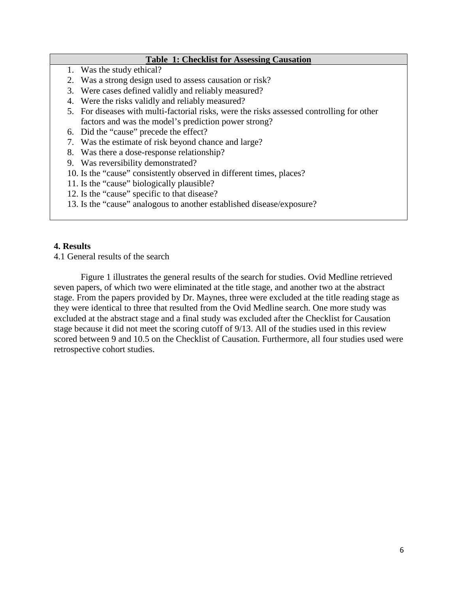## **Table 1: Checklist for Assessing Causation**

- 1. Was the study ethical?
- 2. Was a strong design used to assess causation or risk?
- 3. Were cases defined validly and reliably measured?
- 4. Were the risks validly and reliably measured?
- 5. For diseases with multi-factorial risks, were the risks assessed controlling for other factors and was the model's prediction power strong?
- 6. Did the "cause" precede the effect?
- 7. Was the estimate of risk beyond chance and large?
- 8. Was there a dose-response relationship?
- 9. Was reversibility demonstrated?
- 10. Is the "cause" consistently observed in different times, places?
- 11. Is the "cause" biologically plausible?
- 12. Is the "cause" specific to that disease?
- 13. Is the "cause" analogous to another established disease/exposure?

## **4. Results**

4.1 General results of the search

Figure 1 illustrates the general results of the search for studies. Ovid Medline retrieved seven papers, of which two were eliminated at the title stage, and another two at the abstract stage. From the papers provided by Dr. Maynes, three were excluded at the title reading stage as they were identical to three that resulted from the Ovid Medline search. One more study was excluded at the abstract stage and a final study was excluded after the Checklist for Causation stage because it did not meet the scoring cutoff of 9/13. All of the studies used in this review scored between 9 and 10.5 on the Checklist of Causation. Furthermore, all four studies used were retrospective cohort studies.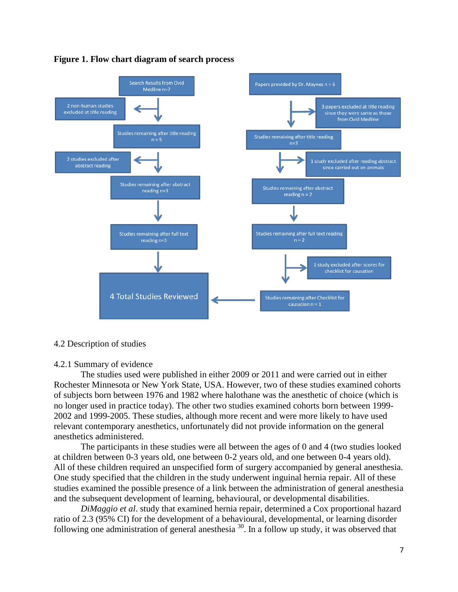

#### **Figure 1. Flow chart diagram of search process**

#### 4.2 Description of studies

#### 4.2.1 Summary of evidence

The studies used were published in either 2009 or 2011 and were carried out in either Rochester Minnesota or New York State, USA. However, two of these studies examined cohorts of subjects born between 1976 and 1982 where halothane was the anesthetic of choice (which is no longer used in practice today). The other two studies examined cohorts born between 1999- 2002 and 1999-2005. These studies, although more recent and were more likely to have used relevant contemporary anesthetics, unfortunately did not provide information on the general anesthetics administered.

The participants in these studies were all between the ages of 0 and 4 (two studies looked at children between 0-3 years old, one between 0-2 years old, and one between 0-4 years old). All of these children required an unspecified form of surgery accompanied by general anesthesia. One study specified that the children in the study underwent inguinal hernia repair. All of these studies examined the possible presence of a link between the administration of general anesthesia and the subsequent development of learning, behavioural, or developmental disabilities.

*DiMaggio et al*. study that examined hernia repair, determined a Cox proportional hazard ratio of 2.3 (95% CI) for the development of a behavioural, developmental, or learning disorder following one administration of general anesthesia  $30$ . In a follow up study, it was observed that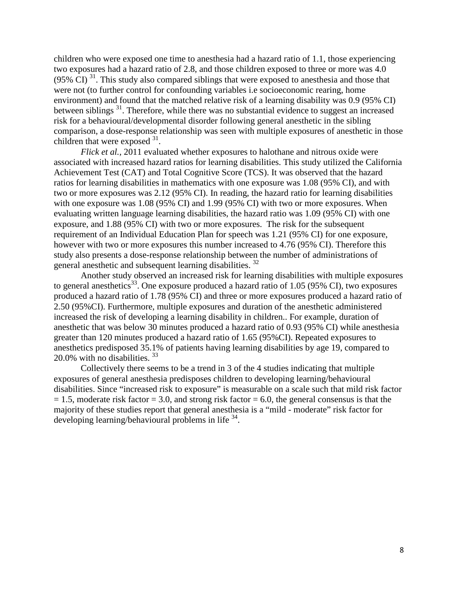children who were exposed one time to anesthesia had a hazard ratio of 1.1, those experiencing two exposures had a hazard ratio of 2.8, and those children exposed to three or more was 4.0 (95% CI)<sup>31</sup>. This study also compared siblings that were exposed to anesthesia and those that were not (to further control for confounding variables i.e socioeconomic rearing, home environment) and found that the matched relative risk of a learning disability was 0.9 (95% CI) between siblings<sup>31</sup>. Therefore, while there was no substantial evidence to suggest an increased risk for a behavioural/developmental disorder following general anesthetic in the sibling comparison, a dose-response relationship was seen with multiple exposures of anesthetic in those children that were exposed <sup>31</sup>.

*Flick et al.,* 2011 evaluated whether exposures to halothane and nitrous oxide were associated with increased hazard ratios for learning disabilities. This study utilized the California Achievement Test (CAT) and Total Cognitive Score (TCS). It was observed that the hazard ratios for learning disabilities in mathematics with one exposure was 1.08 (95% CI), and with two or more exposures was 2.12 (95% CI). In reading, the hazard ratio for learning disabilities with one exposure was 1.08 (95% CI) and 1.99 (95% CI) with two or more exposures. When evaluating written language learning disabilities, the hazard ratio was 1.09 (95% CI) with one exposure, and 1.88 (95% CI) with two or more exposures. The risk for the subsequent requirement of an Individual Education Plan for speech was 1.21 (95% CI) for one exposure, however with two or more exposures this number increased to 4.76 (95% CI). Therefore this study also presents a dose-response relationship between the number of administrations of general anesthetic and subsequent learning disabilities. 32

Another study observed an increased risk for learning disabilities with multiple exposures to general anesthetics<sup>33</sup>. One exposure produced a hazard ratio of 1.05 (95% CI), two exposures produced a hazard ratio of 1.78 (95% CI) and three or more exposures produced a hazard ratio of 2.50 (95%CI). Furthermore, multiple exposures and duration of the anesthetic administered increased the risk of developing a learning disability in children.. For example, duration of anesthetic that was below 30 minutes produced a hazard ratio of 0.93 (95% CI) while anesthesia greater than 120 minutes produced a hazard ratio of 1.65 (95%CI). Repeated exposures to anesthetics predisposed 35.1% of patients having learning disabilities by age 19, compared to 20.0% with no disabilities.  $33$ 

Collectively there seems to be a trend in 3 of the 4 studies indicating that multiple exposures of general anesthesia predisposes children to developing learning/behavioural disabilities. Since "increased risk to exposure" is measurable on a scale such that mild risk factor  $= 1.5$ , moderate risk factor  $= 3.0$ , and strong risk factor  $= 6.0$ , the general consensus is that the majority of these studies report that general anesthesia is a "mild - moderate" risk factor for developing learning/behavioural problems in life 34.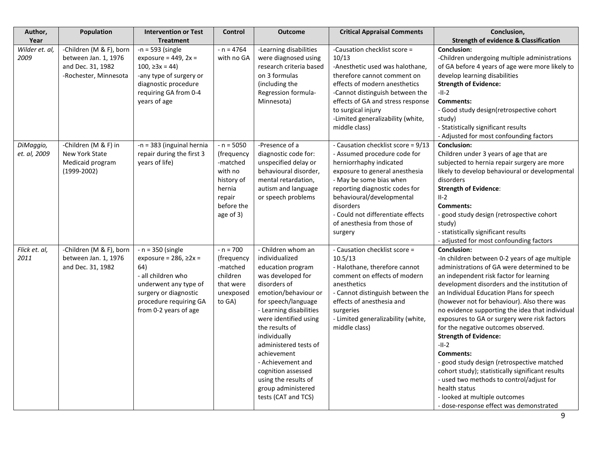| Author,                   | Population                                                                                    | <b>Intervention or Test</b>                                                                                                                                                          | <b>Control</b>                                                                                                 | <b>Outcome</b>                                                                                                                                                                                                                                                                                                                                                                              | <b>Critical Appraisal Comments</b>                                                                                                                                                                                                                                                                                    | Conclusion,                                                                                                                                                                                                                                                                                                                                                                                                                                                                                                                                                                                                                                                                                                                                                   |
|---------------------------|-----------------------------------------------------------------------------------------------|--------------------------------------------------------------------------------------------------------------------------------------------------------------------------------------|----------------------------------------------------------------------------------------------------------------|---------------------------------------------------------------------------------------------------------------------------------------------------------------------------------------------------------------------------------------------------------------------------------------------------------------------------------------------------------------------------------------------|-----------------------------------------------------------------------------------------------------------------------------------------------------------------------------------------------------------------------------------------------------------------------------------------------------------------------|---------------------------------------------------------------------------------------------------------------------------------------------------------------------------------------------------------------------------------------------------------------------------------------------------------------------------------------------------------------------------------------------------------------------------------------------------------------------------------------------------------------------------------------------------------------------------------------------------------------------------------------------------------------------------------------------------------------------------------------------------------------|
| Year                      |                                                                                               | <b>Treatment</b>                                                                                                                                                                     |                                                                                                                |                                                                                                                                                                                                                                                                                                                                                                                             |                                                                                                                                                                                                                                                                                                                       | <b>Strength of evidence &amp; Classification</b>                                                                                                                                                                                                                                                                                                                                                                                                                                                                                                                                                                                                                                                                                                              |
| Wilder et. al,<br>2009    | -Children (M & F), born<br>between Jan. 1, 1976<br>and Dec. 31, 1982<br>-Rochester, Minnesota | $-n = 593$ (single<br>exposure = $449$ , $2x =$<br>$100, \geq 3x = 44$<br>-any type of surgery or<br>diagnostic procedure<br>requiring GA from 0-4<br>years of age                   | $- n = 4764$<br>with no GA                                                                                     | -Learning disabilities<br>were diagnosed using<br>research criteria based<br>on 3 formulas<br>(including the<br>Regression formula-<br>Minnesota)                                                                                                                                                                                                                                           | -Causation checklist score =<br>10/13<br>-Anesthetic used was halothane,<br>therefore cannot comment on<br>effects of modern anesthetics<br>-Cannot distinguish between the<br>effects of GA and stress response<br>to surgical injury<br>-Limited generalizability (white,<br>middle class)                          | <b>Conclusion:</b><br>-Children undergoing multiple administrations<br>of GA before 4 years of age were more likely to<br>develop learning disabilities<br><b>Strength of Evidence:</b><br>$-II-2$<br><b>Comments:</b><br>- Good study design(retrospective cohort<br>study)<br>- Statistically significant results<br>- Adjusted for most confounding factors                                                                                                                                                                                                                                                                                                                                                                                                |
| DiMaggio,<br>et. al, 2009 | -Children (M & F) in<br>New York State<br>Medicaid program<br>$(1999-2002)$                   | -n = 383 (inguinal hernia<br>repair during the first 3<br>years of life)                                                                                                             | $- n = 5050$<br>(frequency<br>-matched<br>with no<br>history of<br>hernia<br>repair<br>before the<br>age of 3) | -Presence of a<br>diagnostic code for:<br>unspecified delay or<br>behavioural disorder,<br>mental retardation,<br>autism and language<br>or speech problems                                                                                                                                                                                                                                 | - Causation checklist score = 9/13<br>- Assumed procedure code for<br>herniorrhaphy indicated<br>exposure to general anesthesia<br>- May be some bias when<br>reporting diagnostic codes for<br>behavioural/developmental<br>disorders<br>- Could not differentiate effects<br>of anesthesia from those of<br>surgery | <b>Conclusion:</b><br>Children under 3 years of age that are<br>subjected to hernia repair surgery are more<br>likely to develop behavioural or developmental<br>disorders<br><b>Strength of Evidence:</b><br>$II-2$<br><b>Comments:</b><br>- good study design (retrospective cohort<br>study)<br>- statistically significant results<br>- adjusted for most confounding factors                                                                                                                                                                                                                                                                                                                                                                             |
| Flick et. al,<br>2011     | -Children (M & F), born<br>between Jan. 1, 1976<br>and Dec. 31, 1982                          | $- n = 350$ (single<br>exposure = $286, \geq 2x =$<br>64)<br>- all children who<br>underwent any type of<br>surgery or diagnostic<br>procedure requiring GA<br>from 0-2 years of age | $- n = 700$<br>(frequency<br>-matched<br>children<br>that were<br>unexposed<br>to GA)                          | - Children whom an<br>individualized<br>education program<br>was developed for<br>disorders of<br>emotion/behaviour or<br>for speech/language<br>- Learning disabilities<br>were identified using<br>the results of<br>individually<br>administered tests of<br>achievement<br>- Achievement and<br>cognition assessed<br>using the results of<br>group administered<br>tests (CAT and TCS) | - Causation checklist score =<br>10.5/13<br>- Halothane, therefore cannot<br>comment on effects of modern<br>anesthetics<br>- Cannot distinguish between the<br>effects of anesthesia and<br>surgeries<br>- Limited generalizability (white,<br>middle class)                                                         | <b>Conclusion:</b><br>-In children between 0-2 years of age multiple<br>administrations of GA were determined to be<br>an independent risk factor for learning<br>development disorders and the institution of<br>an Individual Education Plans for speech<br>(however not for behaviour). Also there was<br>no evidence supporting the idea that individual<br>exposures to GA or surgery were risk factors<br>for the negative outcomes observed.<br><b>Strength of Evidence:</b><br>$-II-2$<br><b>Comments:</b><br>- good study design (retrospective matched<br>cohort study); statistically significant results<br>- used two methods to control/adjust for<br>health status<br>- looked at multiple outcomes<br>- dose-response effect was demonstrated |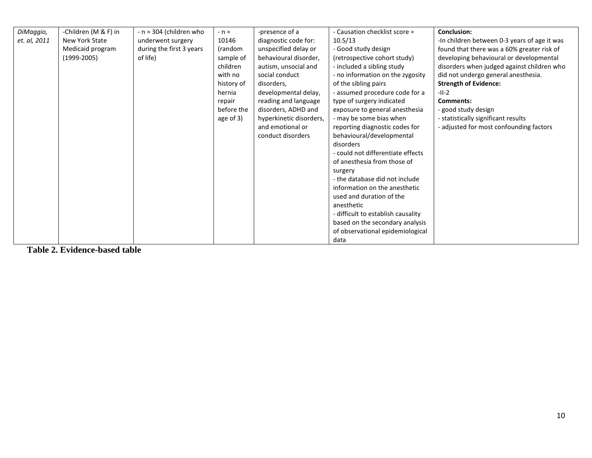| DiMaggio,    | -Children (M & F) in | $- n = 304$ (children who | $- n =$    | -presence of a          | - Causation checklist score =      | <b>Conclusion:</b>                           |
|--------------|----------------------|---------------------------|------------|-------------------------|------------------------------------|----------------------------------------------|
| et. al, 2011 | New York State       | underwent surgery         | 10146      | diagnostic code for:    | 10.5/13                            | -In children between 0-3 years of age it was |
|              | Medicaid program     | during the first 3 years  | (random    | unspecified delay or    | - Good study design                | found that there was a 60% greater risk of   |
|              | $(1999-2005)$        | of life)                  | sample of  | behavioural disorder,   | (retrospective cohort study)       | developing behavioural or developmental      |
|              |                      |                           | children   | autism, unsocial and    | - included a sibling study         | disorders when judged against children who   |
|              |                      |                           | with no    | social conduct          | - no information on the zygosity   | did not undergo general anesthesia.          |
|              |                      |                           | history of | disorders,              | of the sibling pairs               | <b>Strength of Evidence:</b>                 |
|              |                      |                           | hernia     | developmental delay,    | - assumed procedure code for a     | $-II-2$                                      |
|              |                      |                           | repair     | reading and language    | type of surgery indicated          | Comments:                                    |
|              |                      |                           | before the | disorders, ADHD and     | exposure to general anesthesia     | - good study design                          |
|              |                      |                           | age of 3)  | hyperkinetic disorders, | - may be some bias when            | - statistically significant results          |
|              |                      |                           |            | and emotional or        | reporting diagnostic codes for     | - adjusted for most confounding factors      |
|              |                      |                           |            | conduct disorders       | behavioural/developmental          |                                              |
|              |                      |                           |            |                         | disorders                          |                                              |
|              |                      |                           |            |                         | - could not differentiate effects  |                                              |
|              |                      |                           |            |                         | of anesthesia from those of        |                                              |
|              |                      |                           |            |                         | surgery                            |                                              |
|              |                      |                           |            |                         | - the database did not include     |                                              |
|              |                      |                           |            |                         | information on the anesthetic      |                                              |
|              |                      |                           |            |                         | used and duration of the           |                                              |
|              |                      |                           |            |                         | anesthetic                         |                                              |
|              |                      |                           |            |                         | - difficult to establish causality |                                              |
|              |                      |                           |            |                         | based on the secondary analysis    |                                              |
|              |                      |                           |            |                         | of observational epidemiological   |                                              |
|              |                      |                           |            |                         | data                               |                                              |

**Table 2. Evidence-based table**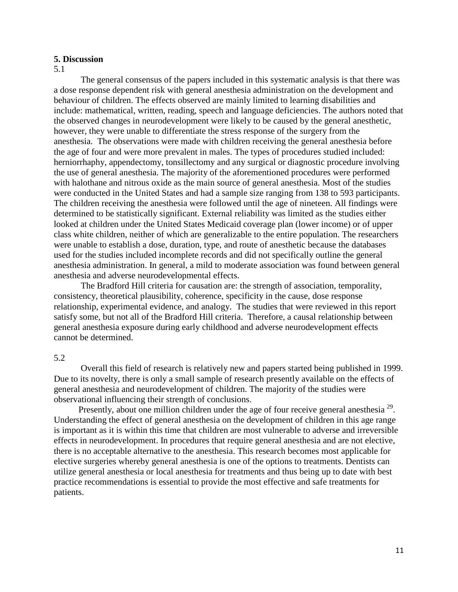## **5. Discussion**

#### 5.1

The general consensus of the papers included in this systematic analysis is that there was a dose response dependent risk with general anesthesia administration on the development and behaviour of children. The effects observed are mainly limited to learning disabilities and include: mathematical, written, reading, speech and language deficiencies. The authors noted that the observed changes in neurodevelopment were likely to be caused by the general anesthetic, however, they were unable to differentiate the stress response of the surgery from the anesthesia. The observations were made with children receiving the general anesthesia before the age of four and were more prevalent in males. The types of procedures studied included: herniorrhaphy, appendectomy, tonsillectomy and any surgical or diagnostic procedure involving the use of general anesthesia. The majority of the aforementioned procedures were performed with halothane and nitrous oxide as the main source of general anesthesia. Most of the studies were conducted in the United States and had a sample size ranging from 138 to 593 participants. The children receiving the anesthesia were followed until the age of nineteen. All findings were determined to be statistically significant. External reliability was limited as the studies either looked at children under the United States Medicaid coverage plan (lower income) or of upper class white children, neither of which are generalizable to the entire population. The researchers were unable to establish a dose, duration, type, and route of anesthetic because the databases used for the studies included incomplete records and did not specifically outline the general anesthesia administration. In general, a mild to moderate association was found between general anesthesia and adverse neurodevelopmental effects.

The Bradford Hill criteria for causation are: the strength of association, temporality, consistency, theoretical plausibility, coherence, specificity in the cause, dose response relationship, experimental evidence, and analogy. The studies that were reviewed in this report satisfy some, but not all of the Bradford Hill criteria. Therefore, a causal relationship between general anesthesia exposure during early childhood and adverse neurodevelopment effects cannot be determined.

## 5.2

Overall this field of research is relatively new and papers started being published in 1999. Due to its novelty, there is only a small sample of research presently available on the effects of general anesthesia and neurodevelopment of children. The majority of the studies were observational influencing their strength of conclusions.

Presently, about one million children under the age of four receive general anesthesia<sup>29</sup>. Understanding the effect of general anesthesia on the development of children in this age range is important as it is within this time that children are most vulnerable to adverse and irreversible effects in neurodevelopment. In procedures that require general anesthesia and are not elective, there is no acceptable alternative to the anesthesia. This research becomes most applicable for elective surgeries whereby general anesthesia is one of the options to treatments. Dentists can utilize general anesthesia or local anesthesia for treatments and thus being up to date with best practice recommendations is essential to provide the most effective and safe treatments for patients.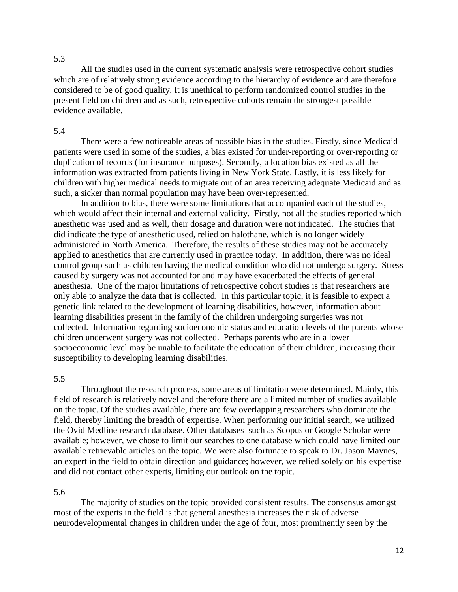## 5.3

All the studies used in the current systematic analysis were retrospective cohort studies which are of relatively strong evidence according to the hierarchy of evidence and are therefore considered to be of good quality. It is unethical to perform randomized control studies in the present field on children and as such, retrospective cohorts remain the strongest possible evidence available.

#### 5.4

There were a few noticeable areas of possible bias in the studies. Firstly, since Medicaid patients were used in some of the studies, a bias existed for under-reporting or over-reporting or duplication of records (for insurance purposes). Secondly, a location bias existed as all the information was extracted from patients living in New York State. Lastly, it is less likely for children with higher medical needs to migrate out of an area receiving adequate Medicaid and as such, a sicker than normal population may have been over-represented.

In addition to bias, there were some limitations that accompanied each of the studies, which would affect their internal and external validity. Firstly, not all the studies reported which anesthetic was used and as well, their dosage and duration were not indicated. The studies that did indicate the type of anesthetic used, relied on halothane, which is no longer widely administered in North America. Therefore, the results of these studies may not be accurately applied to anesthetics that are currently used in practice today. In addition, there was no ideal control group such as children having the medical condition who did not undergo surgery. Stress caused by surgery was not accounted for and may have exacerbated the effects of general anesthesia. One of the major limitations of retrospective cohort studies is that researchers are only able to analyze the data that is collected. In this particular topic, it is feasible to expect a genetic link related to the development of learning disabilities, however, information about learning disabilities present in the family of the children undergoing surgeries was not collected. Information regarding socioeconomic status and education levels of the parents whose children underwent surgery was not collected. Perhaps parents who are in a lower socioeconomic level may be unable to facilitate the education of their children, increasing their susceptibility to developing learning disabilities.

#### 5.5

Throughout the research process, some areas of limitation were determined. Mainly, this field of research is relatively novel and therefore there are a limited number of studies available on the topic. Of the studies available, there are few overlapping researchers who dominate the field, thereby limiting the breadth of expertise. When performing our initial search, we utilized the Ovid Medline research database. Other databases such as Scopus or Google Scholar were available; however, we chose to limit our searches to one database which could have limited our available retrievable articles on the topic. We were also fortunate to speak to Dr. Jason Maynes, an expert in the field to obtain direction and guidance; however, we relied solely on his expertise and did not contact other experts, limiting our outlook on the topic.

#### 5.6

The majority of studies on the topic provided consistent results. The consensus amongst most of the experts in the field is that general anesthesia increases the risk of adverse neurodevelopmental changes in children under the age of four, most prominently seen by the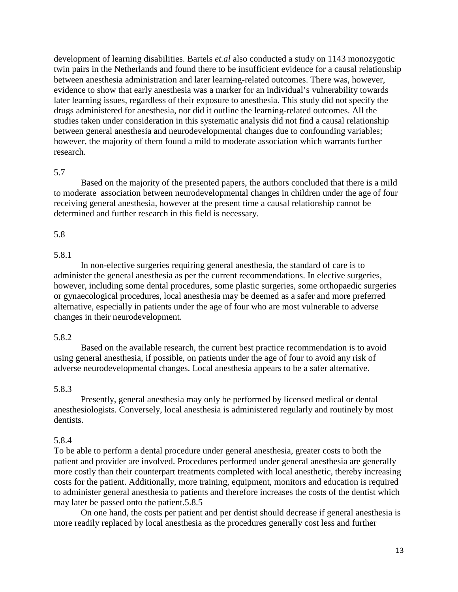development of learning disabilities. Bartels *et.al* also conducted a study on 1143 monozygotic twin pairs in the Netherlands and found there to be insufficient evidence for a causal relationship between anesthesia administration and later learning-related outcomes. There was, however, evidence to show that early anesthesia was a marker for an individual's vulnerability towards later learning issues, regardless of their exposure to anesthesia. This study did not specify the drugs administered for anesthesia, nor did it outline the learning-related outcomes. All the studies taken under consideration in this systematic analysis did not find a causal relationship between general anesthesia and neurodevelopmental changes due to confounding variables; however, the majority of them found a mild to moderate association which warrants further research.

## 5.7

Based on the majority of the presented papers, the authors concluded that there is a mild to moderate association between neurodevelopmental changes in children under the age of four receiving general anesthesia, however at the present time a causal relationship cannot be determined and further research in this field is necessary.

## 5.8

#### 5.8.1

In non-elective surgeries requiring general anesthesia, the standard of care is to administer the general anesthesia as per the current recommendations. In elective surgeries, however, including some dental procedures, some plastic surgeries, some orthopaedic surgeries or gynaecological procedures, local anesthesia may be deemed as a safer and more preferred alternative, especially in patients under the age of four who are most vulnerable to adverse changes in their neurodevelopment.

## 5.8.2

Based on the available research, the current best practice recommendation is to avoid using general anesthesia, if possible, on patients under the age of four to avoid any risk of adverse neurodevelopmental changes. Local anesthesia appears to be a safer alternative.

#### 5.8.3

Presently, general anesthesia may only be performed by licensed medical or dental anesthesiologists. Conversely, local anesthesia is administered regularly and routinely by most dentists.

### 5.8.4

To be able to perform a dental procedure under general anesthesia, greater costs to both the patient and provider are involved. Procedures performed under general anesthesia are generally more costly than their counterpart treatments completed with local anesthetic, thereby increasing costs for the patient. Additionally, more training, equipment, monitors and education is required to administer general anesthesia to patients and therefore increases the costs of the dentist which may later be passed onto the patient.5.8.5

On one hand, the costs per patient and per dentist should decrease if general anesthesia is more readily replaced by local anesthesia as the procedures generally cost less and further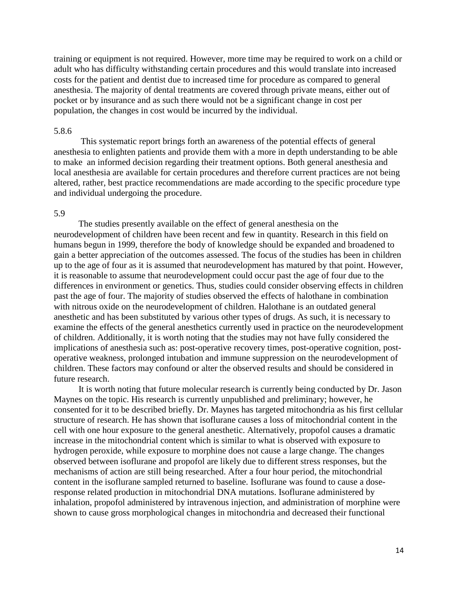training or equipment is not required. However, more time may be required to work on a child or adult who has difficulty withstanding certain procedures and this would translate into increased costs for the patient and dentist due to increased time for procedure as compared to general anesthesia. The majority of dental treatments are covered through private means, either out of pocket or by insurance and as such there would not be a significant change in cost per population, the changes in cost would be incurred by the individual.

#### 5.8.6

This systematic report brings forth an awareness of the potential effects of general anesthesia to enlighten patients and provide them with a more in depth understanding to be able to make an informed decision regarding their treatment options. Both general anesthesia and local anesthesia are available for certain procedures and therefore current practices are not being altered, rather, best practice recommendations are made according to the specific procedure type and individual undergoing the procedure.

#### 5.9

The studies presently available on the effect of general anesthesia on the neurodevelopment of children have been recent and few in quantity. Research in this field on humans begun in 1999, therefore the body of knowledge should be expanded and broadened to gain a better appreciation of the outcomes assessed. The focus of the studies has been in children up to the age of four as it is assumed that neurodevelopment has matured by that point. However, it is reasonable to assume that neurodevelopment could occur past the age of four due to the differences in environment or genetics. Thus, studies could consider observing effects in children past the age of four. The majority of studies observed the effects of halothane in combination with nitrous oxide on the neurodevelopment of children. Halothane is an outdated general anesthetic and has been substituted by various other types of drugs. As such, it is necessary to examine the effects of the general anesthetics currently used in practice on the neurodevelopment of children. Additionally, it is worth noting that the studies may not have fully considered the implications of anesthesia such as: post-operative recovery times, post-operative cognition, postoperative weakness, prolonged intubation and immune suppression on the neurodevelopment of children. These factors may confound or alter the observed results and should be considered in future research.

It is worth noting that future molecular research is currently being conducted by Dr. Jason Maynes on the topic. His research is currently unpublished and preliminary; however, he consented for it to be described briefly. Dr. Maynes has targeted mitochondria as his first cellular structure of research. He has shown that isoflurane causes a loss of mitochondrial content in the cell with one hour exposure to the general anesthetic. Alternatively, propofol causes a dramatic increase in the mitochondrial content which is similar to what is observed with exposure to hydrogen peroxide, while exposure to morphine does not cause a large change. The changes observed between isoflurane and propofol are likely due to different stress responses, but the mechanisms of action are still being researched. After a four hour period, the mitochondrial content in the isoflurane sampled returned to baseline. Isoflurane was found to cause a doseresponse related production in mitochondrial DNA mutations. Isoflurane administered by inhalation, propofol administered by intravenous injection, and administration of morphine were shown to cause gross morphological changes in mitochondria and decreased their functional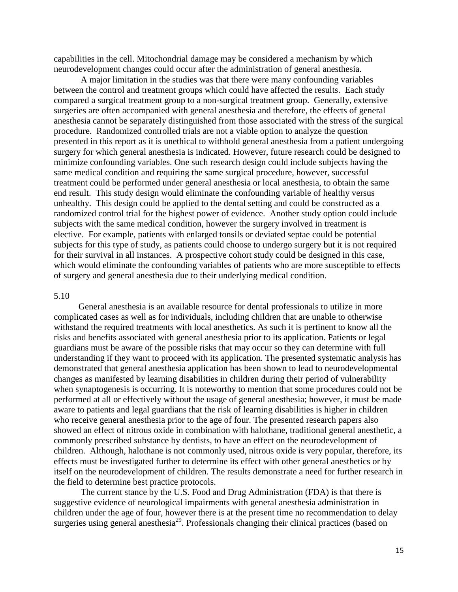capabilities in the cell. Mitochondrial damage may be considered a mechanism by which neurodevelopment changes could occur after the administration of general anesthesia.

A major limitation in the studies was that there were many confounding variables between the control and treatment groups which could have affected the results. Each study compared a surgical treatment group to a non-surgical treatment group. Generally, extensive surgeries are often accompanied with general anesthesia and therefore, the effects of general anesthesia cannot be separately distinguished from those associated with the stress of the surgical procedure. Randomized controlled trials are not a viable option to analyze the question presented in this report as it is unethical to withhold general anesthesia from a patient undergoing surgery for which general anesthesia is indicated. However, future research could be designed to minimize confounding variables. One such research design could include subjects having the same medical condition and requiring the same surgical procedure, however, successful treatment could be performed under general anesthesia or local anesthesia, to obtain the same end result. This study design would eliminate the confounding variable of healthy versus unhealthy. This design could be applied to the dental setting and could be constructed as a randomized control trial for the highest power of evidence. Another study option could include subjects with the same medical condition, however the surgery involved in treatment is elective. For example, patients with enlarged tonsils or deviated septae could be potential subjects for this type of study, as patients could choose to undergo surgery but it is not required for their survival in all instances. A prospective cohort study could be designed in this case, which would eliminate the confounding variables of patients who are more susceptible to effects of surgery and general anesthesia due to their underlying medical condition.

#### 5.10

General anesthesia is an available resource for dental professionals to utilize in more complicated cases as well as for individuals, including children that are unable to otherwise withstand the required treatments with local anesthetics. As such it is pertinent to know all the risks and benefits associated with general anesthesia prior to its application. Patients or legal guardians must be aware of the possible risks that may occur so they can determine with full understanding if they want to proceed with its application. The presented systematic analysis has demonstrated that general anesthesia application has been shown to lead to neurodevelopmental changes as manifested by learning disabilities in children during their period of vulnerability when synaptogenesis is occurring. It is noteworthy to mention that some procedures could not be performed at all or effectively without the usage of general anesthesia; however, it must be made aware to patients and legal guardians that the risk of learning disabilities is higher in children who receive general anesthesia prior to the age of four. The presented research papers also showed an effect of nitrous oxide in combination with halothane, traditional general anesthetic, a commonly prescribed substance by dentists, to have an effect on the neurodevelopment of children. Although, halothane is not commonly used, nitrous oxide is very popular, therefore, its effects must be investigated further to determine its effect with other general anesthetics or by itself on the neurodevelopment of children. The results demonstrate a need for further research in the field to determine best practice protocols.

The current stance by the U.S. Food and Drug Administration (FDA) is that there is suggestive evidence of neurological impairments with general anesthesia administration in children under the age of four, however there is at the present time no recommendation to delay surgeries using general anesthesia<sup>29</sup>. Professionals changing their clinical practices (based on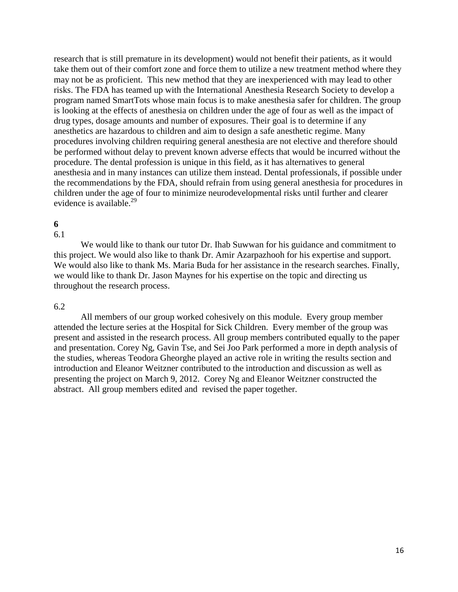research that is still premature in its development) would not benefit their patients, as it would take them out of their comfort zone and force them to utilize a new treatment method where they may not be as proficient. This new method that they are inexperienced with may lead to other risks. The FDA has teamed up with the International Anesthesia Research Society to develop a program named SmartTots whose main focus is to make anesthesia safer for children. The group is looking at the effects of anesthesia on children under the age of four as well as the impact of drug types, dosage amounts and number of exposures. Their goal is to determine if any anesthetics are hazardous to children and aim to design a safe anesthetic regime. Many procedures involving children requiring general anesthesia are not elective and therefore should be performed without delay to prevent known adverse effects that would be incurred without the procedure. The dental profession is unique in this field, as it has alternatives to general anesthesia and in many instances can utilize them instead. Dental professionals, if possible under the recommendations by the FDA, should refrain from using general anesthesia for procedures in children under the age of four to minimize neurodevelopmental risks until further and clearer evidence is available. $^{29}$ 

#### **6** 6.1

We would like to thank our tutor Dr. Ihab Suwwan for his guidance and commitment to this project. We would also like to thank Dr. Amir Azarpazhooh for his expertise and support. We would also like to thank Ms. Maria Buda for her assistance in the research searches. Finally, we would like to thank Dr. Jason Maynes for his expertise on the topic and directing us throughout the research process.

## 6.2

All members of our group worked cohesively on this module. Every group member attended the lecture series at the Hospital for Sick Children. Every member of the group was present and assisted in the research process. All group members contributed equally to the paper and presentation. Corey Ng, Gavin Tse, and Sei Joo Park performed a more in depth analysis of the studies, whereas Teodora Gheorghe played an active role in writing the results section and introduction and Eleanor Weitzner contributed to the introduction and discussion as well as presenting the project on March 9, 2012. Corey Ng and Eleanor Weitzner constructed the abstract. All group members edited and revised the paper together.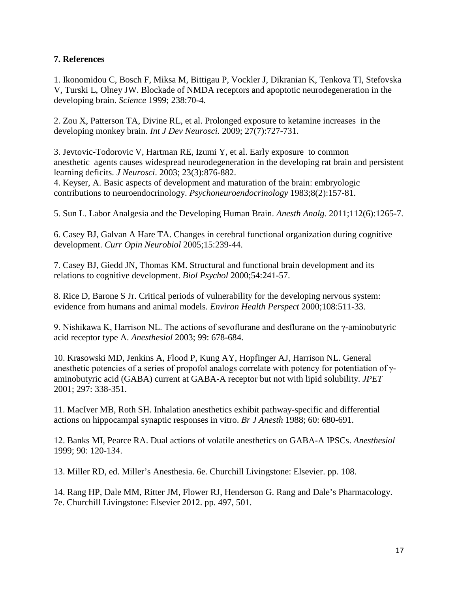# **7. References**

1. Ikonomidou C, Bosch F, Miksa M, Bittigau P, Vockler J, Dikranian K, Tenkova TI, Stefovska V, Turski L, Olney JW. Blockade of NMDA receptors and apoptotic neurodegeneration in the developing brain. *Science* 1999; 238:70-4.

2. Zou X, Patterson TA, Divine RL, et al. Prolonged exposure to ketamine increases in the developing monkey brain. *Int J Dev Neurosci.* 2009; 27(7):727-731.

3. Jevtovic-Todorovic V, Hartman RE, Izumi Y, et al. Early exposure to common anesthetic agents causes widespread neurodegeneration in the developing rat brain and persistent learning deficits. *J Neurosci*. 2003; 23(3):876-882.

4. Keyser, A. Basic aspects of development and maturation of the brain: embryologic contributions to neuroendocrinology. *Psychoneuroendocrinology* 1983;8(2):157-81.

5. Sun L. Labor Analgesia and the Developing Human Brain. *Anesth Analg.* 2011;112(6):1265-7.

6. Casey BJ, Galvan A Hare TA. Changes in cerebral functional organization during cognitive development. *Curr Opin Neurobiol* 2005;15:239-44.

7. Casey BJ, Giedd JN, Thomas KM. Structural and functional brain development and its relations to cognitive development. *Biol Psychol* 2000;54:241-57.

8. Rice D, Barone S Jr. Critical periods of vulnerability for the developing nervous system: evidence from humans and animal models. *Environ Health Perspect* 2000;108:511-33.

9. Nishikawa K, Harrison NL. The actions of sevoflurane and desflurane on the γ-aminobutyric acid receptor type A. *Anesthesiol* 2003; 99: 678-684.

10. Krasowski MD, Jenkins A, Flood P, Kung AY, Hopfinger AJ, Harrison NL. General anesthetic potencies of a series of propofol analogs correlate with potency for potentiation of γaminobutyric acid (GABA) current at GABA-A receptor but not with lipid solubility. *JPET* 2001; 297: 338-351.

11. MacIver MB, Roth SH. Inhalation anesthetics exhibit pathway-specific and differential actions on hippocampal synaptic responses in vitro. *Br J Anesth* 1988; 60: 680-691.

12. Banks MI, Pearce RA. Dual actions of volatile anesthetics on GABA-A IPSCs. *Anesthesiol* 1999; 90: 120-134.

13. Miller RD, ed. Miller's Anesthesia. 6e. Churchill Livingstone: Elsevier. pp. 108.

14. Rang HP, Dale MM, Ritter JM, Flower RJ, Henderson G. Rang and Dale's Pharmacology. 7e. Churchill Livingstone: Elsevier 2012. pp. 497, 501.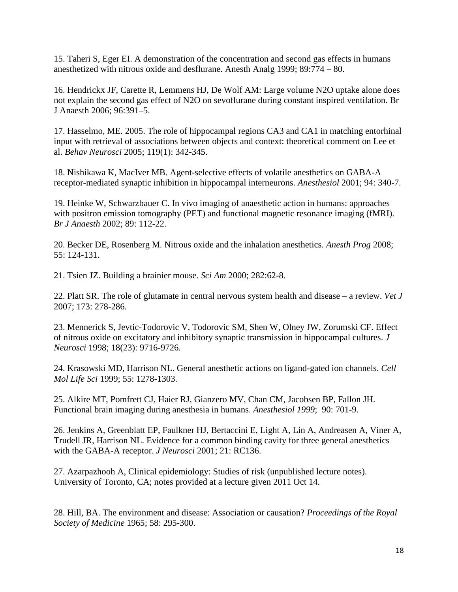15. Taheri S, Eger EI. A demonstration of the concentration and second gas effects in humans anesthetized with nitrous oxide and desflurane. Anesth Analg 1999; 89:774 – 80.

16. Hendrickx JF, Carette R, Lemmens HJ, De Wolf AM: Large volume N2O uptake alone does not explain the second gas effect of N2O on sevoflurane during constant inspired ventilation. Br J Anaesth 2006; 96:391–5.

17. Hasselmo, ME. 2005. The role of hippocampal regions CA3 and CA1 in matching entorhinal input with retrieval of associations between objects and context: theoretical comment on Lee et al. *Behav Neurosci* 2005; 119(1): 342-345.

18. Nishikawa K, MacIver MB. Agent-selective effects of volatile anesthetics on GABA-A receptor-mediated synaptic inhibition in hippocampal interneurons. *Anesthesiol* 2001; 94: 340-7.

19. Heinke W, Schwarzbauer C. In vivo imaging of anaesthetic action in humans: approaches with positron emission tomography (PET) and functional magnetic resonance imaging (fMRI). *Br J Anaesth* 2002; 89: 112-22.

20. Becker DE, Rosenberg M. Nitrous oxide and the inhalation anesthetics. *Anesth Prog* 2008; 55: 124-131.

21. Tsien JZ. Building a brainier mouse. *Sci Am* 2000; 282:62-8.

22. Platt SR. The role of glutamate in central nervous system health and disease – a review. *Vet J* 2007; 173: 278-286.

23. Mennerick S, Jevtic-Todorovic V, Todorovic SM, Shen W, Olney JW, Zorumski CF. Effect of nitrous oxide on excitatory and inhibitory synaptic transmission in hippocampal cultures. *J Neurosci* 1998; 18(23): 9716-9726.

24. Krasowski MD, Harrison NL. General anesthetic actions on ligand-gated ion channels. *Cell Mol Life Sci* 1999; 55: 1278-1303.

25. Alkire MT, Pomfrett CJ, Haier RJ, Gianzero MV, Chan CM, Jacobsen BP, Fallon JH. Functional brain imaging during anesthesia in humans. *Anesthesiol 1999*; 90: 701-9.

26. Jenkins A, Greenblatt EP, Faulkner HJ, Bertaccini E, Light A, Lin A, Andreasen A, Viner A, Trudell JR, Harrison NL. Evidence for a common binding cavity for three general anesthetics with the GABA-A receptor. *J Neurosci* 2001; 21: RC136.

27. Azarpazhooh A, Clinical epidemiology: Studies of risk (unpublished lecture notes). University of Toronto, CA; notes provided at a lecture given 2011 Oct 14.

28. Hill, BA. The environment and disease: Association or causation? *Proceedings of the Royal Society of Medicine* 1965; 58: 295-300.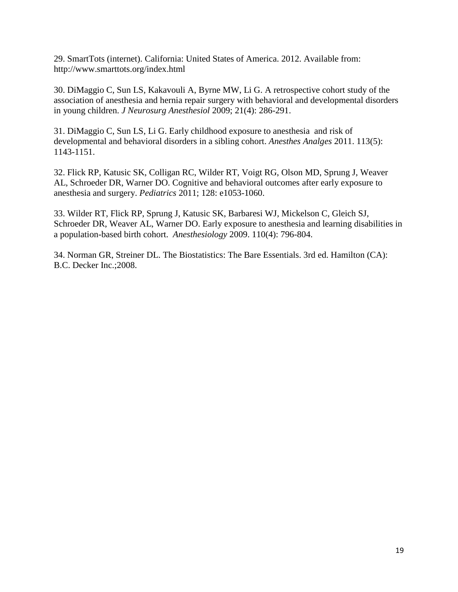29. SmartTots (internet). California: United States of America. 2012. Available from: <http://www.smarttots.org/index.html>

30. DiMaggio C, Sun LS, Kakavouli A, Byrne MW, Li G. A retrospective cohort study of the association of anesthesia and hernia repair surgery with behavioral and developmental disorders in young children. *J Neurosurg Anesthesiol* 2009; 21(4): 286-291.

31. DiMaggio C, Sun LS, Li G. Early childhood exposure to anesthesia and risk of developmental and behavioral disorders in a sibling cohort. *Anesthes Analges* 2011. 113(5): 1143-1151.

32. Flick RP, Katusic SK, Colligan RC, Wilder RT, Voigt RG, Olson MD, Sprung J, Weaver AL, Schroeder DR, Warner DO. Cognitive and behavioral outcomes after early exposure to anesthesia and surgery. *Pediatrics* 2011; 128: e1053-1060.

33. Wilder RT, Flick RP, Sprung J, Katusic SK, Barbaresi WJ, Mickelson C, Gleich SJ, Schroeder DR, Weaver AL, Warner DO. Early exposure to anesthesia and learning disabilities in a population-based birth cohort. *Anesthesiology* 2009. 110(4): 796-804.

34. Norman GR, Streiner DL. The Biostatistics: The Bare Essentials. 3rd ed. Hamilton (CA): B.C. Decker Inc.;2008.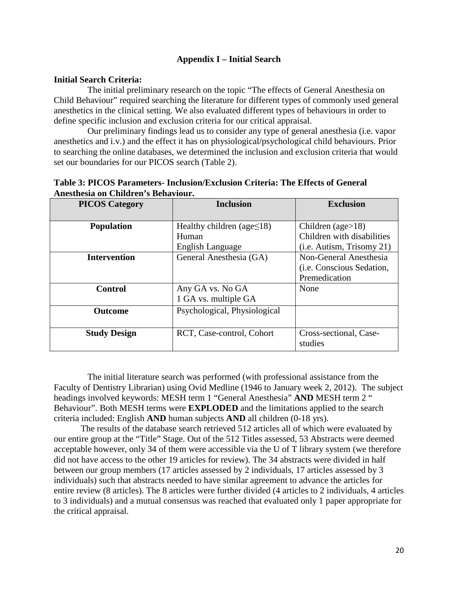## **Appendix I – Initial Search**

#### **Initial Search Criteria:**

The initial preliminary research on the topic "The effects of General Anesthesia on Child Behaviour" required searching the literature for different types of commonly used general anesthetics in the clinical setting. We also evaluated different types of behaviours in order to define specific inclusion and exclusion criteria for our critical appraisal.

Our preliminary findings lead us to consider any type of general anesthesia (i.e. vapor anesthetics and i.v.) and the effect it has on physiological/psychological child behaviours. Prior to searching the online databases, we determined the inclusion and exclusion criteria that would set our boundaries for our PICOS search (Table 2).

| Table 3: PICOS Parameters- Inclusion/Exclusion Criteria: The Effects of General |  |  |  |  |
|---------------------------------------------------------------------------------|--|--|--|--|
| Anesthesia on Children's Behaviour.                                             |  |  |  |  |
| $\mathbf{D} \mathbf{I} \cap \mathbf{I} \cap \mathbf{I}$                         |  |  |  |  |

| <b>PICOS Category</b> | <b>Inclusion</b>                 | <b>Exclusion</b>            |
|-----------------------|----------------------------------|-----------------------------|
|                       |                                  |                             |
| <b>Population</b>     | Healthy children (age $\leq$ 18) | Children (age $>18$ )       |
|                       | Human                            | Children with disabilities  |
|                       | English Language                 | $(i.e.$ Autism, Trisomy 21) |
| <b>Intervention</b>   | General Anesthesia (GA)          | Non-General Anesthesia      |
|                       |                                  | (i.e. Conscious Sedation,   |
|                       |                                  | Premedication               |
| <b>Control</b>        | Any GA vs. No GA                 | None                        |
|                       | 1 GA vs. multiple GA             |                             |
| <b>Outcome</b>        | Psychological, Physiological     |                             |
|                       |                                  |                             |
| <b>Study Design</b>   | RCT, Case-control, Cohort        | Cross-sectional, Case-      |
|                       |                                  | studies                     |

The initial literature search was performed (with professional assistance from the Faculty of Dentistry Librarian) using Ovid Medline (1946 to January week 2, 2012). The subject headings involved keywords: MESH term 1 "General Anesthesia" **AND** MESH term 2 " Behaviour". Both MESH terms were **EXPLODED** and the limitations applied to the search criteria included: English **AND** human subjects **AND** all children (0-18 yrs).

The results of the database search retrieved 512 articles all of which were evaluated by our entire group at the "Title" Stage. Out of the 512 Titles assessed, 53 Abstracts were deemed acceptable however, only 34 of them were accessible via the U of T library system (we therefore did not have access to the other 19 articles for review). The 34 abstracts were divided in half between our group members (17 articles assessed by 2 individuals, 17 articles assessed by 3 individuals) such that abstracts needed to have similar agreement to advance the articles for entire review (8 articles). The 8 articles were further divided (4 articles to 2 individuals, 4 articles to 3 individuals) and a mutual consensus was reached that evaluated only 1 paper appropriate for the critical appraisal.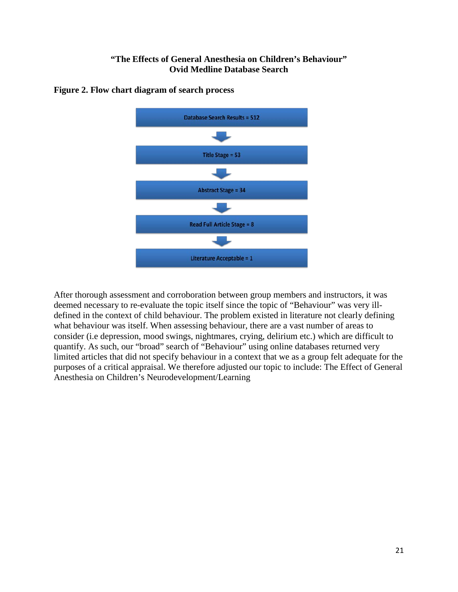# **"The Effects of General Anesthesia on Children's Behaviour" Ovid Medline Database Search**



## **Figure 2. Flow chart diagram of search process**

After thorough assessment and corroboration between group members and instructors, it was deemed necessary to re-evaluate the topic itself since the topic of "Behaviour" was very illdefined in the context of child behaviour. The problem existed in literature not clearly defining what behaviour was itself. When assessing behaviour, there are a vast number of areas to consider (i.e depression, mood swings, nightmares, crying, delirium etc.) which are difficult to quantify. As such, our "broad" search of "Behaviour" using online databases returned very limited articles that did not specify behaviour in a context that we as a group felt adequate for the purposes of a critical appraisal. We therefore adjusted our topic to include: The Effect of General Anesthesia on Children's Neurodevelopment/Learning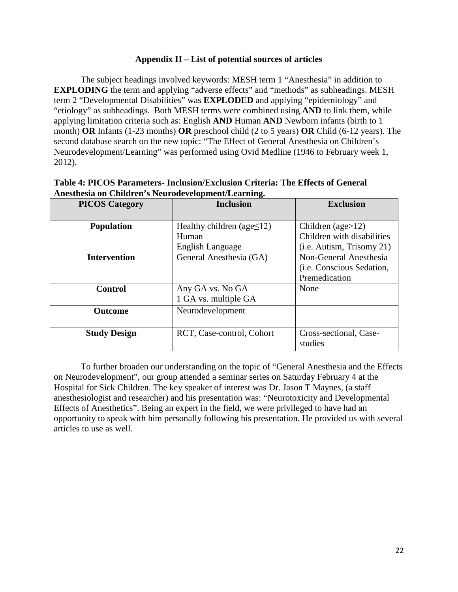## **Appendix II – List of potential sources of articles**

The subject headings involved keywords: MESH term 1 "Anesthesia" in addition to **EXPLODING** the term and applying "adverse effects" and "methods" as subheadings. MESH term 2 "Developmental Disabilities" was **EXPLODED** and applying "epidemiology" and "etiology" as subheadings. Both MESH terms were combined using **AND** to link them, while applying limitation criteria such as: English **AND** Human **AND** Newborn infants (birth to 1 month) **OR** Infants (1-23 months) **OR** preschool child (2 to 5 years) **OR** Child (6-12 years). The second database search on the new topic: "The Effect of General Anesthesia on Children's Neurodevelopment/Learning" was performed using Ovid Medline (1946 to February week 1, 2012).

| <b>PICOS Category</b> | <b>Inclusion</b>                 | <b>Exclusion</b>                  |
|-----------------------|----------------------------------|-----------------------------------|
| <b>Population</b>     | Healthy children (age $\leq$ 12) | Children (age $>12$ )             |
|                       | Human                            | Children with disabilities        |
|                       | English Language                 | $(i.e.$ Autism, Trisomy 21)       |
| <b>Intervention</b>   | General Anesthesia (GA)          | Non-General Anesthesia            |
|                       |                                  | (i.e. Conscious Sedation,         |
|                       |                                  | Premedication                     |
| <b>Control</b>        | Any GA vs. No GA                 | None                              |
|                       | 1 GA vs. multiple GA             |                                   |
| <b>Outcome</b>        | Neurodevelopment                 |                                   |
|                       |                                  |                                   |
| <b>Study Design</b>   | RCT, Case-control, Cohort        | Cross-sectional, Case-<br>studies |

| Table 4: PICOS Parameters- Inclusion/Exclusion Criteria: The Effects of General |  |
|---------------------------------------------------------------------------------|--|
| Anesthesia on Children's Neurodevelopment/Learning.                             |  |

To further broaden our understanding on the topic of "General Anesthesia and the Effects on Neurodevelopment", our group attended a seminar series on Saturday February 4 at the Hospital for Sick Children. The key speaker of interest was Dr. Jason T Maynes, (a staff anesthesiologist and researcher) and his presentation was: "Neurotoxicity and Developmental Effects of Anesthetics". Being an expert in the field, we were privileged to have had an opportunity to speak with him personally following his presentation. He provided us with several articles to use as well.